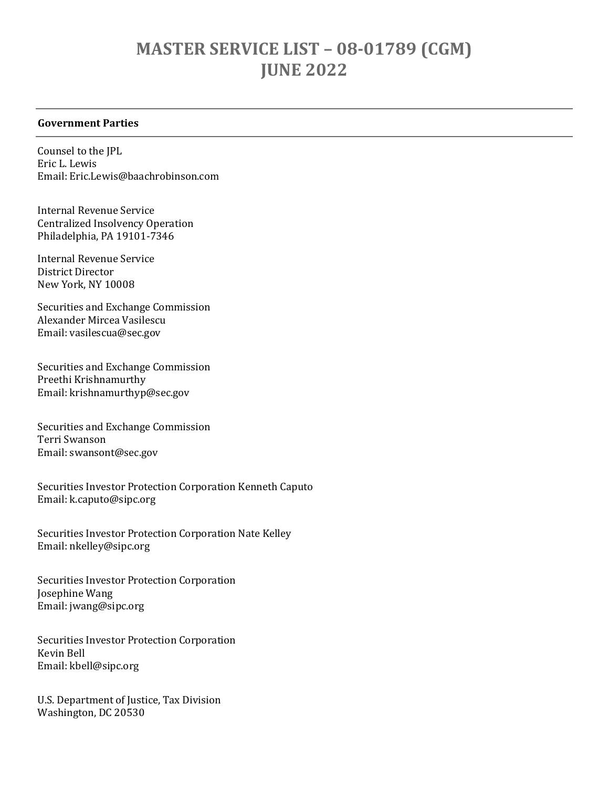## MASTER SERVICE LIST – 08-01789 (CGM) JUNE 2022

## Government Parties

Counsel to the JPL Eric L. Lewis Email: Eric.Lewis@baachrobinson.com

Internal Revenue Service Centralized Insolvency Operation Philadelphia, PA 19101-7346

Internal Revenue Service District Director New York, NY 10008

Securities and Exchange Commission Alexander Mircea Vasilescu Email: vasilescua@sec.gov

Securities and Exchange Commission Preethi Krishnamurthy Email: krishnamurthyp@sec.gov

Securities and Exchange Commission Terri Swanson Email: swansont@sec.gov

Securities Investor Protection Corporation Kenneth Caputo Email: k.caputo@sipc.org

Securities Investor Protection Corporation Nate Kelley Email: nkelley@sipc.org

Securities Investor Protection Corporation Josephine Wang Email: jwang@sipc.org

Securities Investor Protection Corporation Kevin Bell Email: kbell@sipc.org

U.S. Department of Justice, Tax Division Washington, DC 20530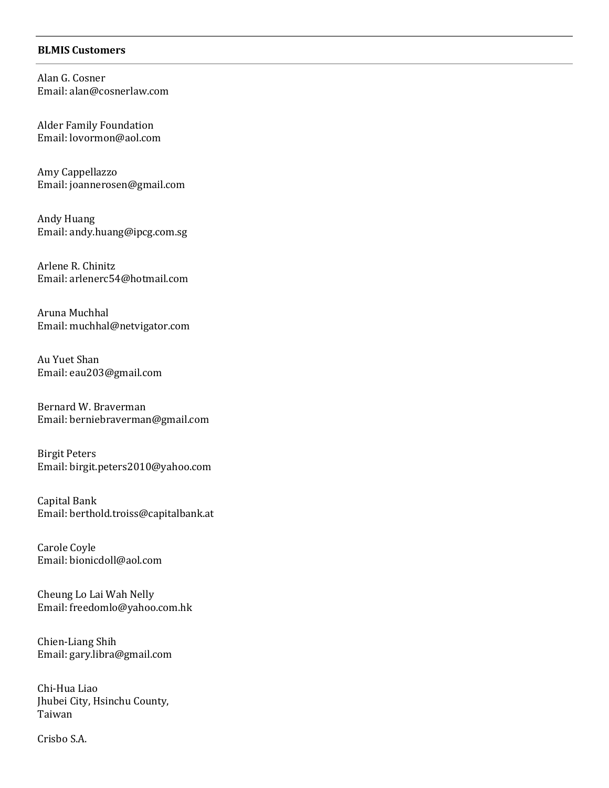## BLMIS Customers

Alan G. Cosner Email: alan@cosnerlaw.com

Alder Family Foundation Email: lovormon@aol.com

Amy Cappellazzo Email: joannerosen@gmail.com

Andy Huang Email: andy.huang@ipcg.com.sg

Arlene R. Chinitz Email: arlenerc54@hotmail.com

Aruna Muchhal Email: muchhal@netvigator.com

Au Yuet Shan Email: eau203@gmail.com

Bernard W. Braverman Email: berniebraverman@gmail.com

Birgit Peters Email: birgit.peters2010@yahoo.com

Capital Bank Email: berthold.troiss@capitalbank.at

Carole Coyle Email: bionicdoll@aol.com

Cheung Lo Lai Wah Nelly Email: freedomlo@yahoo.com.hk

Chien-Liang Shih Email: gary.libra@gmail.com

Chi-Hua Liao Jhubei City, Hsinchu County, Taiwan

Crisbo S.A.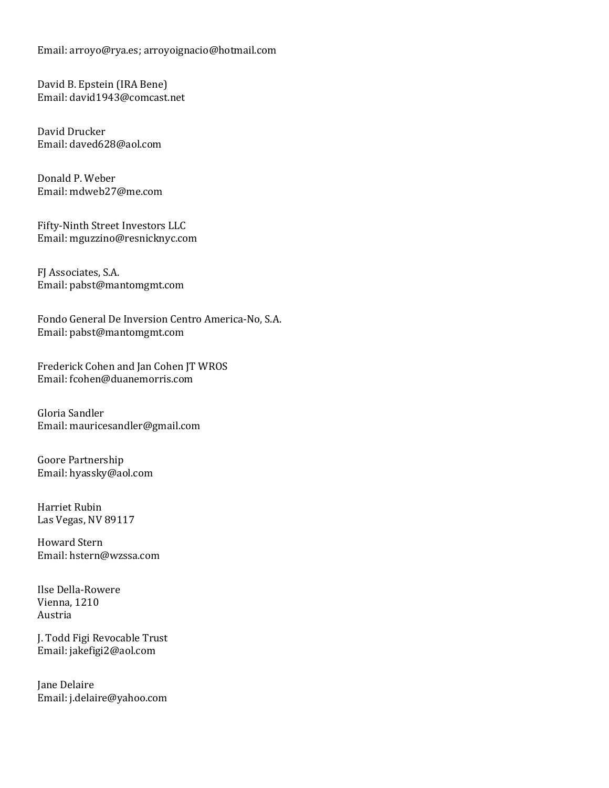Email: arroyo@rya.es; arroyoignacio@hotmail.com

David B. Epstein (IRA Bene) Email: david1943@comcast.net

David Drucker Email: daved628@aol.com

Donald P. Weber Email: mdweb27@me.com

Fifty-Ninth Street Investors LLC Email: mguzzino@resnicknyc.com

FJ Associates, S.A. Email: pabst@mantomgmt.com

Fondo General De Inversion Centro America-No, S.A. Email: pabst@mantomgmt.com

Frederick Cohen and Jan Cohen JT WROS Email: fcohen@duanemorris.com

Gloria Sandler Email: mauricesandler@gmail.com

Goore Partnership Email: hyassky@aol.com

Harriet Rubin Las Vegas, NV 89117

Howard Stern Email: hstern@wzssa.com

Ilse Della-Rowere Vienna, 1210 Austria

J. Todd Figi Revocable Trust Email: jakefigi2@aol.com

Jane Delaire Email: j.delaire@yahoo.com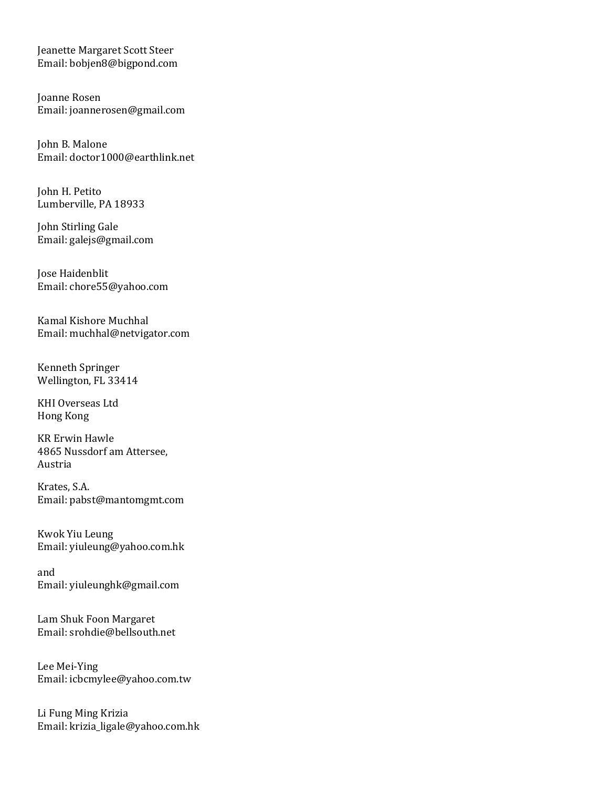Jeanette Margaret Scott Steer Email: bobjen8@bigpond.com

Joanne Rosen Email: joannerosen@gmail.com

John B. Malone Email: doctor1000@earthlink.net

John H. Petito Lumberville, PA 18933

John Stirling Gale Email: galejs@gmail.com

Jose Haidenblit Email: chore55@yahoo.com

Kamal Kishore Muchhal Email: muchhal@netvigator.com

Kenneth Springer Wellington, FL 33414

KHI Overseas Ltd Hong Kong

KR Erwin Hawle 4865 Nussdorf am Attersee, Austria

Krates, S.A. Email: pabst@mantomgmt.com

Kwok Yiu Leung Email: yiuleung@yahoo.com.hk

and Email: yiuleunghk@gmail.com

Lam Shuk Foon Margaret Email: srohdie@bellsouth.net

Lee Mei-Ying Email: icbcmylee@yahoo.com.tw

Li Fung Ming Krizia Email: krizia\_ligale@yahoo.com.hk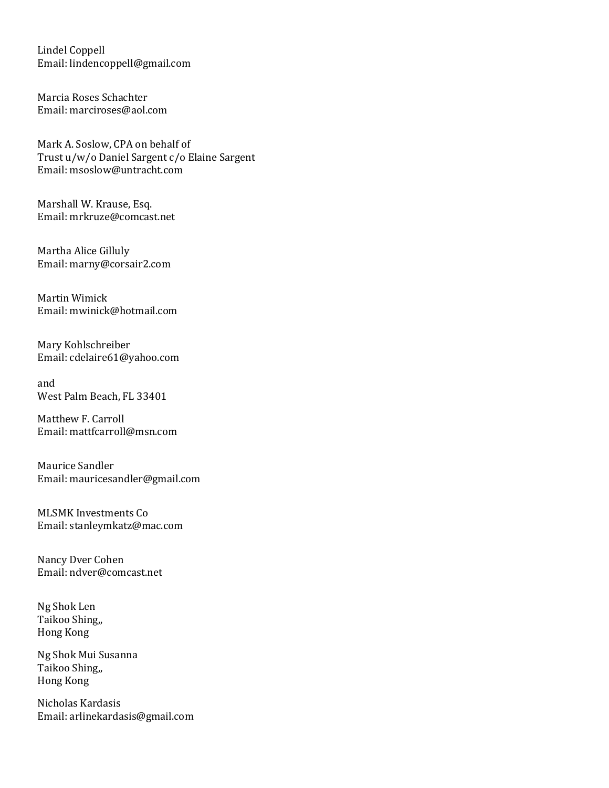Lindel Coppell Email: lindencoppell@gmail.com

Marcia Roses Schachter Email: marciroses@aol.com

Mark A. Soslow, CPA on behalf of Trust u/w/o Daniel Sargent c/o Elaine Sargent Email: msoslow@untracht.com

Marshall W. Krause, Esq. Email: mrkruze@comcast.net

Martha Alice Gilluly Email: marny@corsair2.com

Martin Wimick Email: mwinick@hotmail.com

Mary Kohlschreiber Email: cdelaire61@yahoo.com

and West Palm Beach, FL 33401

Matthew F. Carroll Email: mattfcarroll@msn.com

Maurice Sandler Email: mauricesandler@gmail.com

MLSMK Investments Co Email: stanleymkatz@mac.com

Nancy Dver Cohen Email: ndver@comcast.net

Ng Shok Len Taikoo Shing,, Hong Kong

Ng Shok Mui Susanna Taikoo Shing,, Hong Kong

Nicholas Kardasis Email: arlinekardasis@gmail.com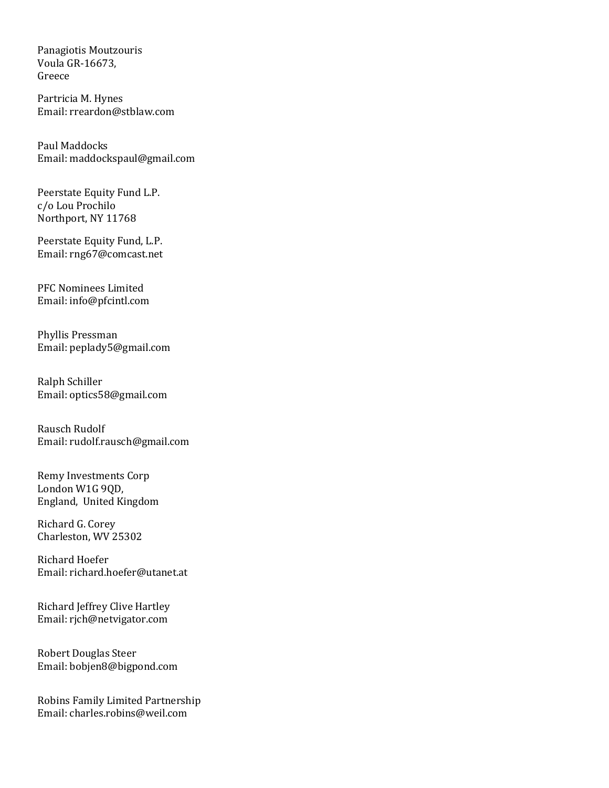Panagiotis Moutzouris Voula GR-16673, Greece

Partricia M. Hynes Email: rreardon@stblaw.com

Paul Maddocks Email: maddockspaul@gmail.com

Peerstate Equity Fund L.P. c/o Lou Prochilo Northport, NY 11768

Peerstate Equity Fund, L.P. Email: rng67@comcast.net

PFC Nominees Limited Email: info@pfcintl.com

Phyllis Pressman Email: peplady5@gmail.com

Ralph Schiller Email: optics58@gmail.com

Rausch Rudolf Email: rudolf.rausch@gmail.com

Remy Investments Corp London W1G 9QD, England, United Kingdom

Richard G. Corey Charleston, WV 25302

Richard Hoefer Email: richard.hoefer@utanet.at

Richard Jeffrey Clive Hartley Email: rjch@netvigator.com

Robert Douglas Steer Email: bobjen8@bigpond.com

Robins Family Limited Partnership Email: charles.robins@weil.com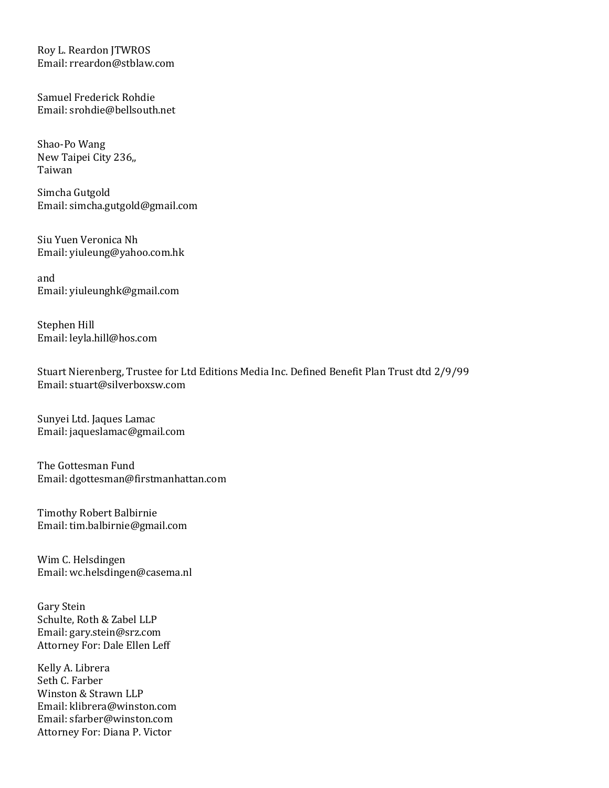Roy L. Reardon JTWROS Email: rreardon@stblaw.com

Samuel Frederick Rohdie Email: srohdie@bellsouth.net

Shao-Po Wang New Taipei City 236,, Taiwan

Simcha Gutgold Email: simcha.gutgold@gmail.com

Siu Yuen Veronica Nh Email: yiuleung@yahoo.com.hk

and Email: yiuleunghk@gmail.com

Stephen Hill Email: leyla.hill@hos.com

Stuart Nierenberg, Trustee for Ltd Editions Media Inc. Defined Benefit Plan Trust dtd 2/9/99 Email: stuart@silverboxsw.com

Sunyei Ltd. Jaques Lamac Email: jaqueslamac@gmail.com

The Gottesman Fund Email: dgottesman@firstmanhattan.com

Timothy Robert Balbirnie Email: tim.balbirnie@gmail.com

Wim C. Helsdingen Email: wc.helsdingen@casema.nl

Gary Stein Schulte, Roth & Zabel LLP Email: gary.stein@srz.com Attorney For: Dale Ellen Leff

Kelly A. Librera Seth C. Farber Winston & Strawn LLP Email: klibrera@winston.com Email: sfarber@winston.com Attorney For: Diana P. Victor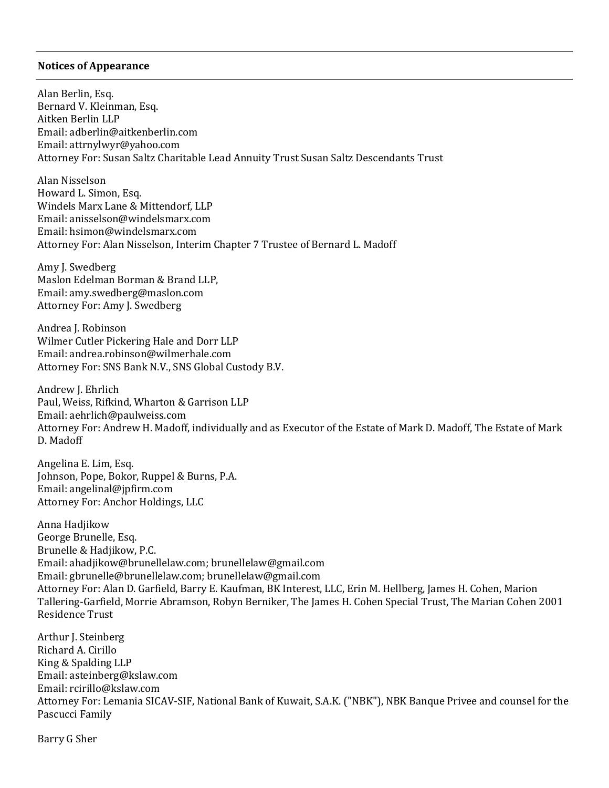## Notices of Appearance

Alan Berlin, Esq. Bernard V. Kleinman, Esq. Aitken Berlin LLP Email: adberlin@aitkenberlin.com Email: attrnylwyr@yahoo.com Attorney For: Susan Saltz Charitable Lead Annuity Trust Susan Saltz Descendants Trust

Alan Nisselson Howard L. Simon, Esq. Windels Marx Lane & Mittendorf, LLP Email: anisselson@windelsmarx.com Email: hsimon@windelsmarx.com Attorney For: Alan Nisselson, Interim Chapter 7 Trustee of Bernard L. Madoff

Amy J. Swedberg Maslon Edelman Borman & Brand LLP, Email: amy.swedberg@maslon.com Attorney For: Amy J. Swedberg

Andrea J. Robinson Wilmer Cutler Pickering Hale and Dorr LLP Email: andrea.robinson@wilmerhale.com Attorney For: SNS Bank N.V., SNS Global Custody B.V.

Andrew J. Ehrlich Paul, Weiss, Rifkind, Wharton & Garrison LLP Email: aehrlich@paulweiss.com Attorney For: Andrew H. Madoff, individually and as Executor of the Estate of Mark D. Madoff, The Estate of Mark D. Madoff

Angelina E. Lim, Esq. Johnson, Pope, Bokor, Ruppel & Burns, P.A. Email: angelinal@jpfirm.com Attorney For: Anchor Holdings, LLC

Anna Hadjikow George Brunelle, Esq. Brunelle & Hadjikow, P.C. Email: ahadjikow@brunellelaw.com; brunellelaw@gmail.com Email: gbrunelle@brunellelaw.com; brunellelaw@gmail.com Attorney For: Alan D. Garfield, Barry E. Kaufman, BK Interest, LLC, Erin M. Hellberg, James H. Cohen, Marion Tallering-Garfield, Morrie Abramson, Robyn Berniker, The James H. Cohen Special Trust, The Marian Cohen 2001 Residence Trust

Arthur J. Steinberg Richard A. Cirillo King & Spalding LLP Email: asteinberg@kslaw.com Email: rcirillo@kslaw.com Attorney For: Lemania SICAV-SIF, National Bank of Kuwait, S.A.K. ("NBK"), NBK Banque Privee and counsel for the Pascucci Family

Barry G Sher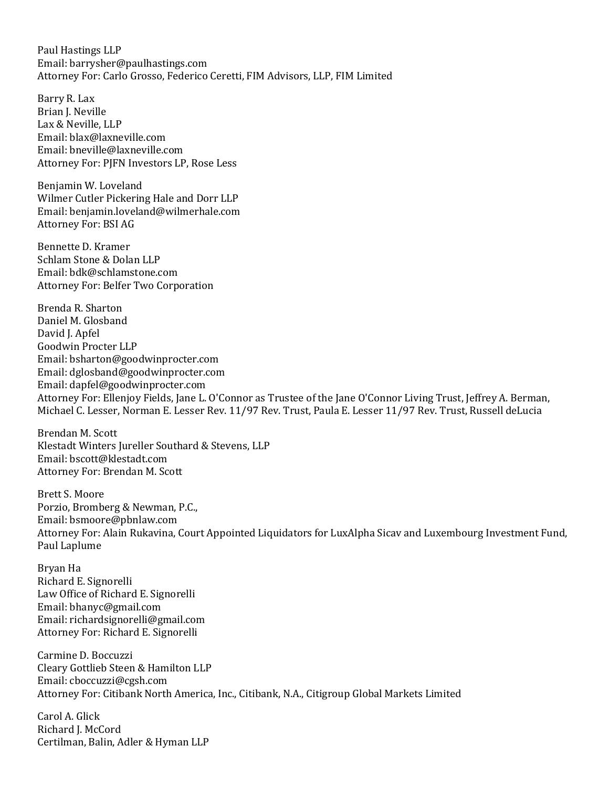Paul Hastings LLP Email: barrysher@paulhastings.com Attorney For: Carlo Grosso, Federico Ceretti, FIM Advisors, LLP, FIM Limited

Barry R. Lax Brian J. Neville Lax & Neville, LLP Email: blax@laxneville.com Email: bneville@laxneville.com Attorney For: PJFN Investors LP, Rose Less

Benjamin W. Loveland Wilmer Cutler Pickering Hale and Dorr LLP Email: benjamin.loveland@wilmerhale.com Attorney For: BSI AG

Bennette D. Kramer Schlam Stone & Dolan LLP Email: bdk@schlamstone.com Attorney For: Belfer Two Corporation

Brenda R. Sharton Daniel M. Glosband David J. Apfel Goodwin Procter LLP Email: bsharton@goodwinprocter.com Email: dglosband@goodwinprocter.com Email: dapfel@goodwinprocter.com Attorney For: Ellenjoy Fields, Jane L. O'Connor as Trustee of the Jane O'Connor Living Trust, Jeffrey A. Berman, Michael C. Lesser, Norman E. Lesser Rev. 11/97 Rev. Trust, Paula E. Lesser 11/97 Rev. Trust, Russell deLucia

Brendan M. Scott Klestadt Winters Jureller Southard & Stevens, LLP Email: bscott@klestadt.com Attorney For: Brendan M. Scott

Brett S. Moore Porzio, Bromberg & Newman, P.C., Email: bsmoore@pbnlaw.com Attorney For: Alain Rukavina, Court Appointed Liquidators for LuxAlpha Sicav and Luxembourg Investment Fund, Paul Laplume

Bryan Ha Richard E. Signorelli Law Office of Richard E. Signorelli Email: bhanyc@gmail.com Email: richardsignorelli@gmail.com Attorney For: Richard E. Signorelli

Carmine D. Boccuzzi Cleary Gottlieb Steen & Hamilton LLP Email: cboccuzzi@cgsh.com Attorney For: Citibank North America, Inc., Citibank, N.A., Citigroup Global Markets Limited

Carol A. Glick Richard I. McCord Certilman, Balin, Adler & Hyman LLP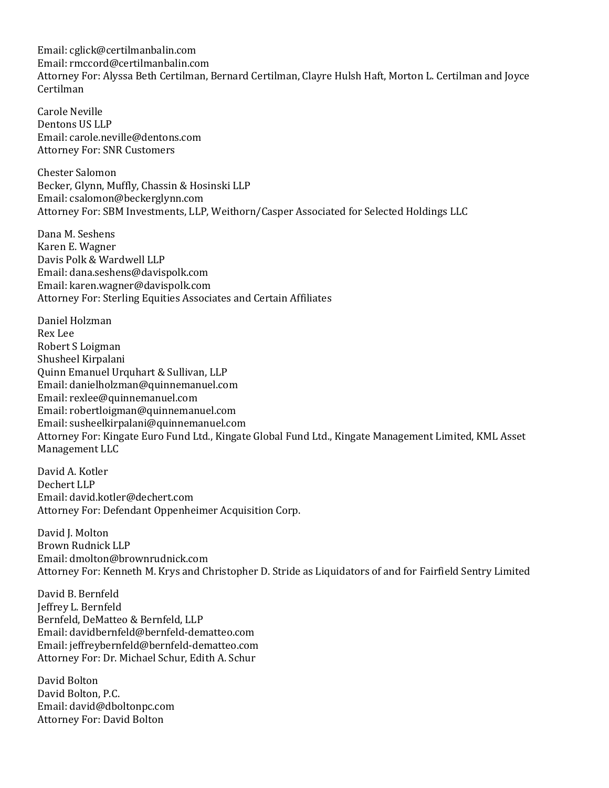Email: cglick@certilmanbalin.com Email: rmccord@certilmanbalin.com Attorney For: Alyssa Beth Certilman, Bernard Certilman, Clayre Hulsh Haft, Morton L. Certilman and Joyce Certilman

Carole Neville Dentons US LLP Email: carole.neville@dentons.com Attorney For: SNR Customers

Chester Salomon Becker, Glynn, Muffly, Chassin & Hosinski LLP Email: csalomon@beckerglynn.com Attorney For: SBM Investments, LLP, Weithorn/Casper Associated for Selected Holdings LLC

Dana M. Seshens Karen E. Wagner Davis Polk & Wardwell LLP Email: dana.seshens@davispolk.com Email: karen.wagner@davispolk.com Attorney For: Sterling Equities Associates and Certain Affiliates

Daniel Holzman Rex Lee Robert S Loigman Shusheel Kirpalani Quinn Emanuel Urquhart & Sullivan, LLP Email: danielholzman@quinnemanuel.com Email: rexlee@quinnemanuel.com Email: robertloigman@quinnemanuel.com Email: susheelkirpalani@quinnemanuel.com Attorney For: Kingate Euro Fund Ltd., Kingate Global Fund Ltd., Kingate Management Limited, KML Asset Management LLC

David A. Kotler Dechert LLP Email: david.kotler@dechert.com Attorney For: Defendant Oppenheimer Acquisition Corp.

David I. Molton Brown Rudnick LLP Email: dmolton@brownrudnick.com Attorney For: Kenneth M. Krys and Christopher D. Stride as Liquidators of and for Fairfield Sentry Limited

David B. Bernfeld Jeffrey L. Bernfeld Bernfeld, DeMatteo & Bernfeld, LLP Email: davidbernfeld@bernfeld-dematteo.com Email: jeffreybernfeld@bernfeld-dematteo.com Attorney For: Dr. Michael Schur, Edith A. Schur

David Bolton David Bolton, P.C. Email: david@dboltonpc.com Attorney For: David Bolton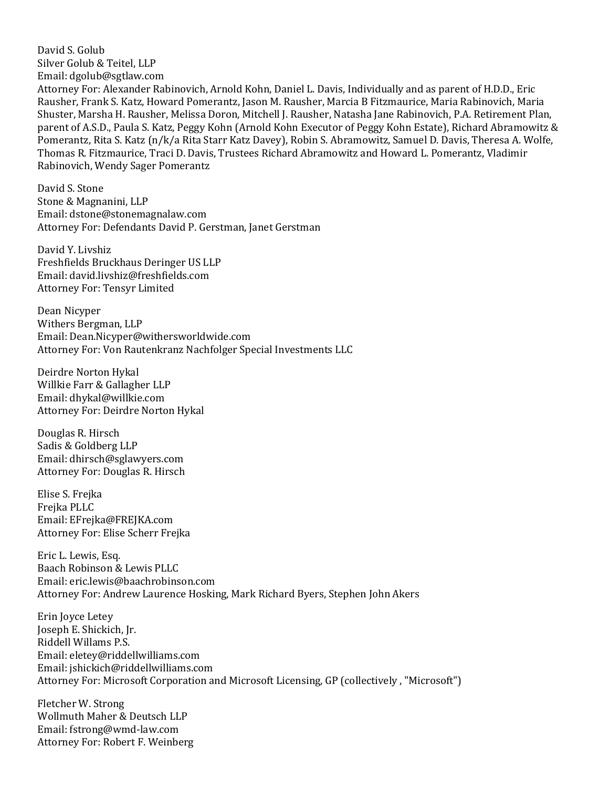David S. Golub Silver Golub & Teitel, LLP Email: dgolub@sgtlaw.com Attorney For: Alexander Rabinovich, Arnold Kohn, Daniel L. Davis, Individually and as parent of H.D.D., Eric Rausher, Frank S. Katz, Howard Pomerantz, Jason M. Rausher, Marcia B Fitzmaurice, Maria Rabinovich, Maria

Shuster, Marsha H. Rausher, Melissa Doron, Mitchell J. Rausher, Natasha Jane Rabinovich, P.A. Retirement Plan, parent of A.S.D., Paula S. Katz, Peggy Kohn (Arnold Kohn Executor of Peggy Kohn Estate), Richard Abramowitz & Pomerantz, Rita S. Katz (n/k/a Rita Starr Katz Davey), Robin S. Abramowitz, Samuel D. Davis, Theresa A. Wolfe, Thomas R. Fitzmaurice, Traci D. Davis, Trustees Richard Abramowitz and Howard L. Pomerantz, Vladimir Rabinovich, Wendy Sager Pomerantz

David S. Stone Stone & Magnanini, LLP Email: dstone@stonemagnalaw.com Attorney For: Defendants David P. Gerstman, Janet Gerstman

David Y. Livshiz Freshfields Bruckhaus Deringer US LLP Email: david.livshiz@freshfields.com Attorney For: Tensyr Limited

Dean Nicyper Withers Bergman, LLP Email: Dean.Nicyper@withersworldwide.com Attorney For: Von Rautenkranz Nachfolger Special Investments LLC

Deirdre Norton Hykal Willkie Farr & Gallagher LLP Email: dhykal@willkie.com Attorney For: Deirdre Norton Hykal

Douglas R. Hirsch Sadis & Goldberg LLP Email: dhirsch@sglawyers.com Attorney For: Douglas R. Hirsch

Elise S. Frejka Frejka PLLC Email: EFrejka@FREJKA.com Attorney For: Elise Scherr Frejka

Eric L. Lewis, Esq. Baach Robinson & Lewis PLLC Email: eric.lewis@baachrobinson.com Attorney For: Andrew Laurence Hosking, Mark Richard Byers, Stephen John Akers

Erin Joyce Letey Joseph E. Shickich, Jr. Riddell Willams P.S. Email: eletey@riddellwilliams.com Email: jshickich@riddellwilliams.com Attorney For: Microsoft Corporation and Microsoft Licensing, GP (collectively , "Microsoft")

Fletcher W. Strong Wollmuth Maher & Deutsch LLP Email: fstrong@wmd-law.com Attorney For: Robert F. Weinberg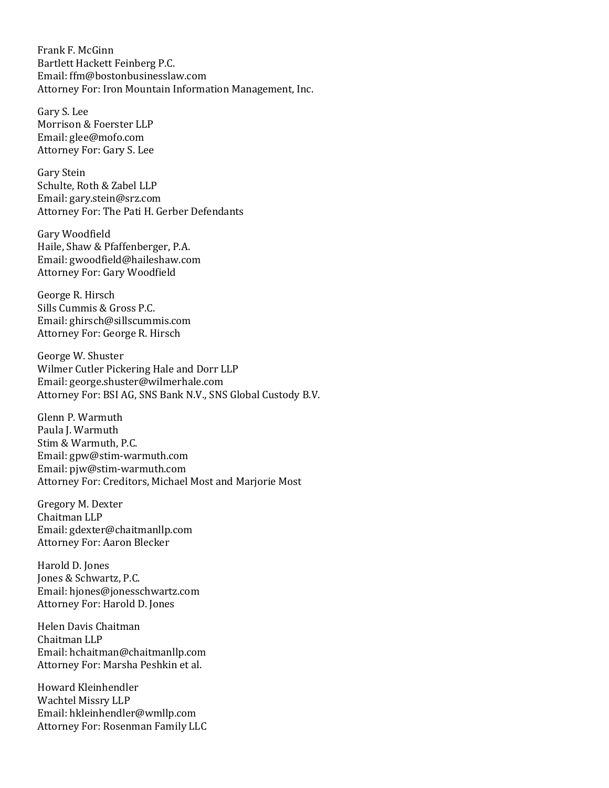Frank F. McGinn Bartlett Hackett Feinberg P.C. Email: ffm@bostonbusinesslaw.com Attorney For: Iron Mountain Information Management, Inc.

Gary S. Lee Morrison & Foerster LLP Email: glee@mofo.com Attorney For: Gary S. Lee

Gary Stein Schulte, Roth & Zabel LLP Email: gary.stein@srz.com Attorney For: The Pati H. Gerber Defendants

Gary Woodfield Haile, Shaw & Pfaffenberger, P.A. Email: gwoodfield@haileshaw.com Attorney For: Gary Woodfield

George R. Hirsch Sills Cummis & Gross P.C. Email: ghirsch@sillscummis.com Attorney For: George R. Hirsch

George W. Shuster Wilmer Cutler Pickering Hale and Dorr LLP Email: george.shuster@wilmerhale.com Attorney For: BSI AG, SNS Bank N.V., SNS Global Custody B.V.

Glenn P. Warmuth Paula I. Warmuth Stim & Warmuth, P.C. Email: gpw@stim-warmuth.com Email: pjw@stim-warmuth.com Attorney For: Creditors, Michael Most and Marjorie Most

Gregory M. Dexter Chaitman LLP Email: gdexter@chaitmanllp.com Attorney For: Aaron Blecker

Harold D. Jones Jones & Schwartz, P.C. Email: hjones@jonesschwartz.com Attorney For: Harold D. Jones

Helen Davis Chaitman Chaitman LLP Email: hchaitman@chaitmanllp.com Attorney For: Marsha Peshkin et al.

Howard Kleinhendler Wachtel Missry LLP Email: hkleinhendler@wmllp.com Attorney For: Rosenman Family LLC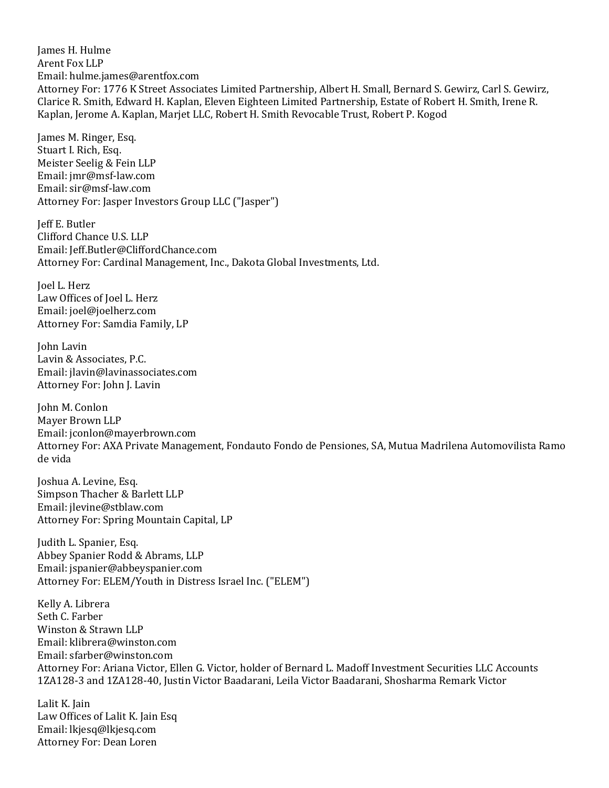James H. Hulme Arent Fox LLP Email: hulme.james@arentfox.com Attorney For: 1776 K Street Associates Limited Partnership, Albert H. Small, Bernard S. Gewirz, Carl S. Gewirz, Clarice R. Smith, Edward H. Kaplan, Eleven Eighteen Limited Partnership, Estate of Robert H. Smith, Irene R. Kaplan, Jerome A. Kaplan, Marjet LLC, Robert H. Smith Revocable Trust, Robert P. Kogod

James M. Ringer, Esq. Stuart I. Rich, Esq. Meister Seelig & Fein LLP Email: jmr@msf-law.com Email: sir@msf-law.com Attorney For: Jasper Investors Group LLC ("Jasper")

Jeff E. Butler Clifford Chance U.S. LLP Email: Jeff.Butler@CliffordChance.com Attorney For: Cardinal Management, Inc., Dakota Global Investments, Ltd.

Joel L. Herz Law Offices of Joel L. Herz Email: joel@joelherz.com Attorney For: Samdia Family, LP

John Lavin Lavin & Associates, P.C. Email: jlavin@lavinassociates.com Attorney For: John J. Lavin

John M. Conlon Mayer Brown LLP Email: jconlon@mayerbrown.com Attorney For: AXA Private Management, Fondauto Fondo de Pensiones, SA, Mutua Madrilena Automovilista Ramo de vida

Joshua A. Levine, Esq. Simpson Thacher & Barlett LLP Email: jlevine@stblaw.com Attorney For: Spring Mountain Capital, LP

Judith L. Spanier, Esq. Abbey Spanier Rodd & Abrams, LLP Email: jspanier@abbeyspanier.com Attorney For: ELEM/Youth in Distress Israel Inc. ("ELEM")

Kelly A. Librera Seth C. Farber Winston & Strawn LLP Email: klibrera@winston.com Email: sfarber@winston.com Attorney For: Ariana Victor, Ellen G. Victor, holder of Bernard L. Madoff Investment Securities LLC Accounts 1ZA128-3 and 1ZA128-40, Justin Victor Baadarani, Leila Victor Baadarani, Shosharma Remark Victor

Lalit K. Jain Law Offices of Lalit K. Jain Esq Email: lkjesq@lkjesq.com Attorney For: Dean Loren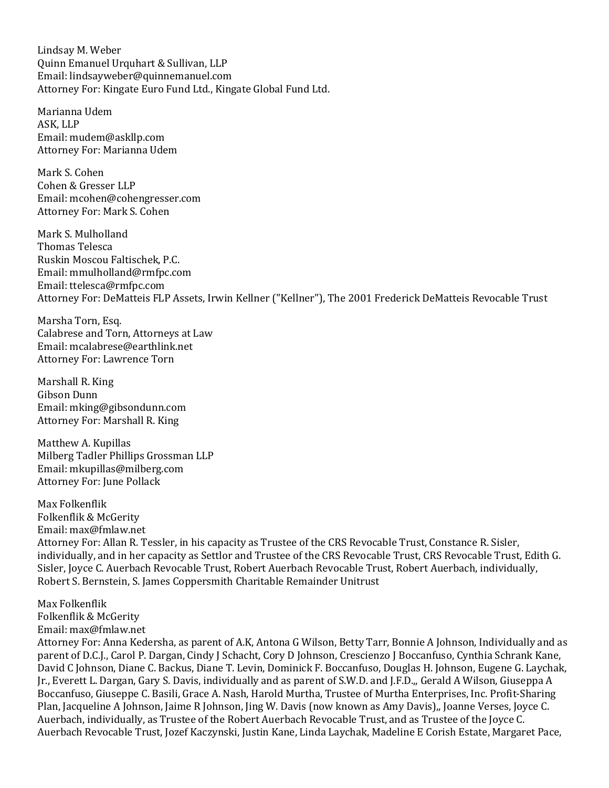Lindsay M. Weber Quinn Emanuel Urquhart & Sullivan, LLP Email: lindsayweber@quinnemanuel.com Attorney For: Kingate Euro Fund Ltd., Kingate Global Fund Ltd.

Marianna Udem ASK, LLP Email: mudem@askllp.com Attorney For: Marianna Udem

Mark S. Cohen Cohen & Gresser LLP Email: mcohen@cohengresser.com Attorney For: Mark S. Cohen

Mark S. Mulholland Thomas Telesca Ruskin Moscou Faltischek, P.C. Email: mmulholland@rmfpc.com Email: ttelesca@rmfpc.com Attorney For: DeMatteis FLP Assets, Irwin Kellner ("Kellner"), The 2001 Frederick DeMatteis Revocable Trust

Marsha Torn, Esq. Calabrese and Torn, Attorneys at Law Email: mcalabrese@earthlink.net Attorney For: Lawrence Torn

Marshall R. King Gibson Dunn Email: mking@gibsondunn.com Attorney For: Marshall R. King

Matthew A. Kupillas Milberg Tadler Phillips Grossman LLP Email: mkupillas@milberg.com Attorney For: June Pollack

Max Folkenflik Folkenflik & McGerity Email: max@fmlaw.net Attorney For: Allan R. Tessler, in his capacity as Trustee of the CRS Revocable Trust, Constance R. Sisler, individually, and in her capacity as Settlor and Trustee of the CRS Revocable Trust, CRS Revocable Trust, Edith G. Sisler, Joyce C. Auerbach Revocable Trust, Robert Auerbach Revocable Trust, Robert Auerbach, individually, Robert S. Bernstein, S. James Coppersmith Charitable Remainder Unitrust

Max Folkenflik Folkenflik & McGerity Email: max@fmlaw.net

Attorney For: Anna Kedersha, as parent of A.K, Antona G Wilson, Betty Tarr, Bonnie A Johnson, Individually and as parent of D.C.J., Carol P. Dargan, Cindy J Schacht, Cory D Johnson, Crescienzo J Boccanfuso, Cynthia Schrank Kane, David C Johnson, Diane C. Backus, Diane T. Levin, Dominick F. Boccanfuso, Douglas H. Johnson, Eugene G. Laychak, Jr., Everett L. Dargan, Gary S. Davis, individually and as parent of S.W.D. and J.F.D.,, Gerald A Wilson, Giuseppa A Boccanfuso, Giuseppe C. Basili, Grace A. Nash, Harold Murtha, Trustee of Murtha Enterprises, Inc. Profit-Sharing Plan, Jacqueline A Johnson, Jaime R Johnson, Jing W. Davis (now known as Amy Davis),, Joanne Verses, Joyce C. Auerbach, individually, as Trustee of the Robert Auerbach Revocable Trust, and as Trustee of the Joyce C. Auerbach Revocable Trust, Jozef Kaczynski, Justin Kane, Linda Laychak, Madeline E Corish Estate, Margaret Pace,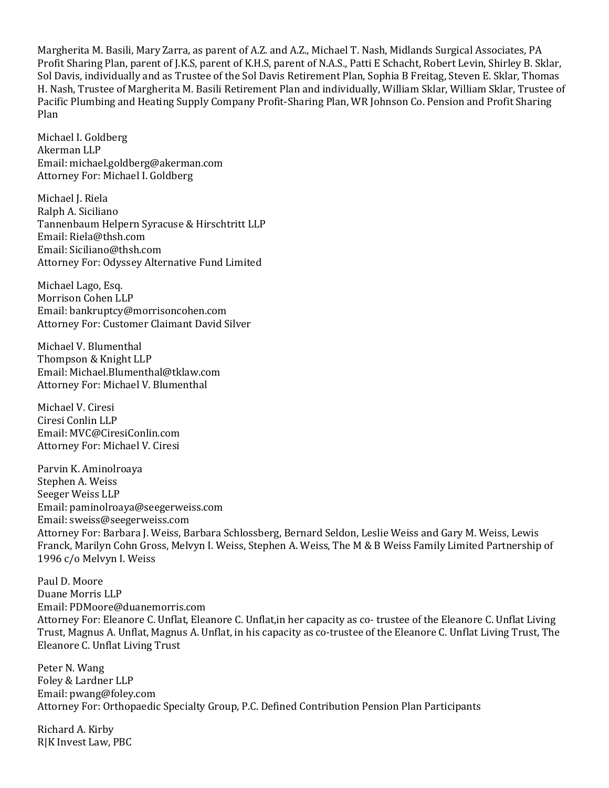Margherita M. Basili, Mary Zarra, as parent of A.Z. and A.Z., Michael T. Nash, Midlands Surgical Associates, PA Profit Sharing Plan, parent of J.K.S, parent of K.H.S, parent of N.A.S., Patti E Schacht, Robert Levin, Shirley B. Sklar, Sol Davis, individually and as Trustee of the Sol Davis Retirement Plan, Sophia B Freitag, Steven E. Sklar, Thomas H. Nash, Trustee of Margherita M. Basili Retirement Plan and individually, William Sklar, William Sklar, Trustee of Pacific Plumbing and Heating Supply Company Profit-Sharing Plan, WR Johnson Co. Pension and Profit Sharing Plan

Michael I. Goldberg Akerman LLP Email: michael.goldberg@akerman.com Attorney For: Michael I. Goldberg

Michael J. Riela Ralph A. Siciliano Tannenbaum Helpern Syracuse & Hirschtritt LLP Email: Riela@thsh.com Email: Siciliano@thsh.com Attorney For: Odyssey Alternative Fund Limited

Michael Lago, Esq. Morrison Cohen LLP Email: bankruptcy@morrisoncohen.com Attorney For: Customer Claimant David Silver

Michael V. Blumenthal Thompson & Knight LLP Email: Michael.Blumenthal@tklaw.com Attorney For: Michael V. Blumenthal

Michael V. Ciresi Ciresi Conlin LLP Email: MVC@CiresiConlin.com Attorney For: Michael V. Ciresi

Parvin K. Aminolroaya Stephen A. Weiss Seeger Weiss LLP Email: paminolroaya@seegerweiss.com Email: sweiss@seegerweiss.com Attorney For: Barbara J. Weiss, Barbara Schlossberg, Bernard Seldon, Leslie Weiss and Gary M. Weiss, Lewis Franck, Marilyn Cohn Gross, Melvyn I. Weiss, Stephen A. Weiss, The M & B Weiss Family Limited Partnership of 1996 c/o Melvyn I. Weiss

Paul D. Moore Duane Morris LLP Email: PDMoore@duanemorris.com Attorney For: Eleanore C. Unflat, Eleanore C. Unflat,in her capacity as co- trustee of the Eleanore C. Unflat Living Trust, Magnus A. Unflat, Magnus A. Unflat, in his capacity as co-trustee of the Eleanore C. Unflat Living Trust, The Eleanore C. Unflat Living Trust

Peter N. Wang Foley & Lardner LLP Email: pwang@foley.com Attorney For: Orthopaedic Specialty Group, P.C. Defined Contribution Pension Plan Participants

Richard A. Kirby R|K Invest Law, PBC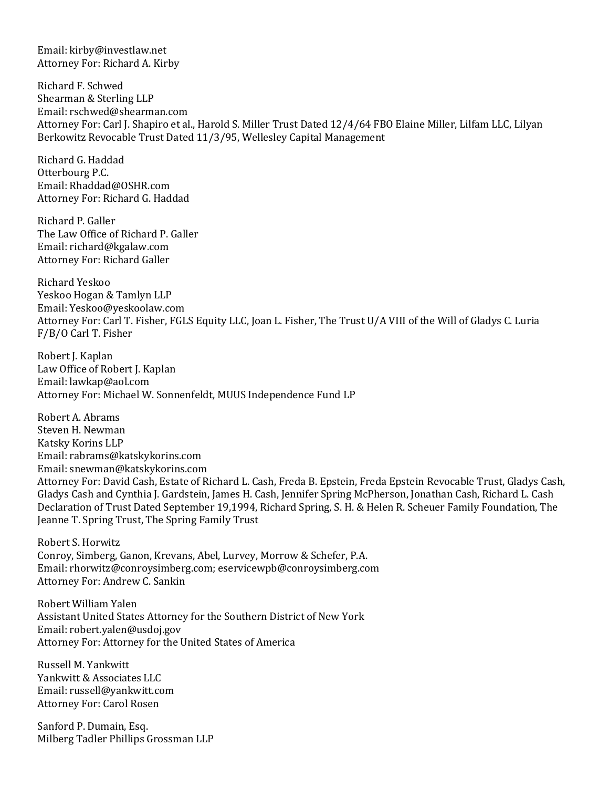Email: kirby@investlaw.net Attorney For: Richard A. Kirby

Richard F. Schwed Shearman & Sterling LLP Email: rschwed@shearman.com Attorney For: Carl J. Shapiro et al., Harold S. Miller Trust Dated 12/4/64 FBO Elaine Miller, Lilfam LLC, Lilyan Berkowitz Revocable Trust Dated 11/3/95, Wellesley Capital Management

Richard G. Haddad Otterbourg P.C. Email: Rhaddad@OSHR.com Attorney For: Richard G. Haddad

Richard P. Galler The Law Office of Richard P. Galler Email: richard@kgalaw.com Attorney For: Richard Galler

Richard Yeskoo Yeskoo Hogan & Tamlyn LLP Email: Yeskoo@yeskoolaw.com Attorney For: Carl T. Fisher, FGLS Equity LLC, Joan L. Fisher, The Trust U/A VIII of the Will of Gladys C. Luria F/B/O Carl T. Fisher

Robert J. Kaplan Law Office of Robert J. Kaplan Email: lawkap@aol.com Attorney For: Michael W. Sonnenfeldt, MUUS Independence Fund LP

Robert A. Abrams Steven H. Newman Katsky Korins LLP Email: rabrams@katskykorins.com Email: snewman@katskykorins.com Attorney For: David Cash, Estate of Richard L. Cash, Freda B. Epstein, Freda Epstein Revocable Trust, Gladys Cash, Gladys Cash and Cynthia J. Gardstein, James H. Cash, Jennifer Spring McPherson, Jonathan Cash, Richard L. Cash Declaration of Trust Dated September 19,1994, Richard Spring, S. H. & Helen R. Scheuer Family Foundation, The Jeanne T. Spring Trust, The Spring Family Trust

Robert S. Horwitz Conroy, Simberg, Ganon, Krevans, Abel, Lurvey, Morrow & Schefer, P.A. Email: rhorwitz@conroysimberg.com; eservicewpb@conroysimberg.com Attorney For: Andrew C. Sankin

Robert William Yalen Assistant United States Attorney for the Southern District of New York Email: robert.yalen@usdoj.gov Attorney For: Attorney for the United States of America

Russell M. Yankwitt Yankwitt & Associates LLC Email: russell@yankwitt.com Attorney For: Carol Rosen

Sanford P. Dumain, Esq. Milberg Tadler Phillips Grossman LLP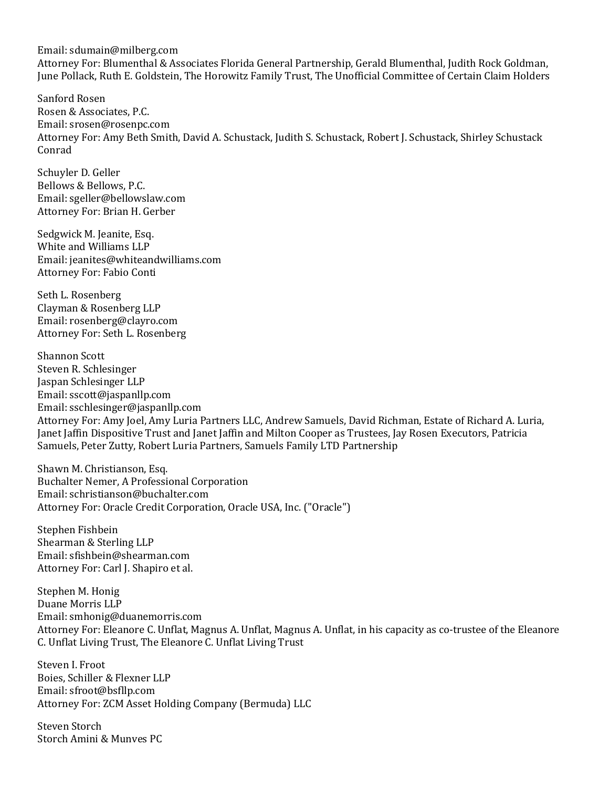Email: sdumain@milberg.com Attorney For: Blumenthal & Associates Florida General Partnership, Gerald Blumenthal, Judith Rock Goldman, June Pollack, Ruth E. Goldstein, The Horowitz Family Trust, The Unofficial Committee of Certain Claim Holders

Sanford Rosen Rosen & Associates, P.C. Email: srosen@rosenpc.com Attorney For: Amy Beth Smith, David A. Schustack, Judith S. Schustack, Robert J. Schustack, Shirley Schustack Conrad

Schuyler D. Geller Bellows & Bellows, P.C. Email: sgeller@bellowslaw.com Attorney For: Brian H. Gerber

Sedgwick M. Jeanite, Esq. White and Williams LLP Email: jeanites@whiteandwilliams.com Attorney For: Fabio Conti

Seth L. Rosenberg Clayman & Rosenberg LLP Email: rosenberg@clayro.com Attorney For: Seth L. Rosenberg

Shannon Scott Steven R. Schlesinger Jaspan Schlesinger LLP Email: sscott@jaspanllp.com Email: sschlesinger@jaspanllp.com Attorney For: Amy Joel, Amy Luria Partners LLC, Andrew Samuels, David Richman, Estate of Richard A. Luria, Janet Jaffin Dispositive Trust and Janet Jaffin and Milton Cooper as Trustees, Jay Rosen Executors, Patricia Samuels, Peter Zutty, Robert Luria Partners, Samuels Family LTD Partnership

Shawn M. Christianson, Esq. Buchalter Nemer, A Professional Corporation Email: schristianson@buchalter.com Attorney For: Oracle Credit Corporation, Oracle USA, Inc. ("Oracle")

Stephen Fishbein Shearman & Sterling LLP Email: sfishbein@shearman.com Attorney For: Carl J. Shapiro et al.

Stephen M. Honig Duane Morris LLP Email: smhonig@duanemorris.com Attorney For: Eleanore C. Unflat, Magnus A. Unflat, Magnus A. Unflat, in his capacity as co-trustee of the Eleanore C. Unflat Living Trust, The Eleanore C. Unflat Living Trust

Steven I. Froot Boies, Schiller & Flexner LLP Email: sfroot@bsfllp.com Attorney For: ZCM Asset Holding Company (Bermuda) LLC

Steven Storch Storch Amini & Munves PC